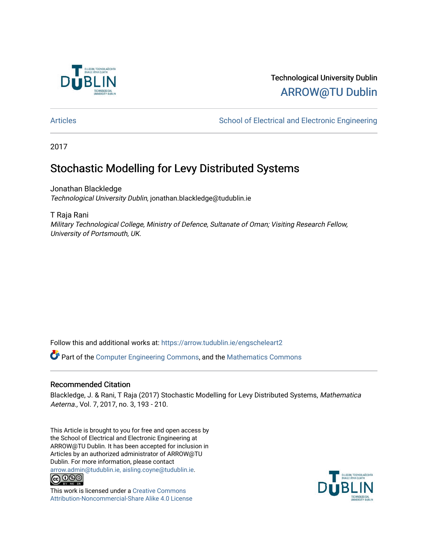

## Technological University Dublin [ARROW@TU Dublin](https://arrow.tudublin.ie/)

[Articles](https://arrow.tudublin.ie/engscheleart2) **School of Electrical and Electronic Engineering** School of Electronic Engineering

2017

# Stochastic Modelling for Levy Distributed Systems

Jonathan Blackledge Technological University Dublin, jonathan.blackledge@tudublin.ie

T Raja Rani

Military Technological College, Ministry of Defence, Sultanate of Oman; Visiting Research Fellow, University of Portsmouth, UK.

Follow this and additional works at: [https://arrow.tudublin.ie/engscheleart2](https://arrow.tudublin.ie/engscheleart2?utm_source=arrow.tudublin.ie%2Fengscheleart2%2F124&utm_medium=PDF&utm_campaign=PDFCoverPages)

Part of the [Computer Engineering Commons,](http://network.bepress.com/hgg/discipline/258?utm_source=arrow.tudublin.ie%2Fengscheleart2%2F124&utm_medium=PDF&utm_campaign=PDFCoverPages) and the [Mathematics Commons](http://network.bepress.com/hgg/discipline/174?utm_source=arrow.tudublin.ie%2Fengscheleart2%2F124&utm_medium=PDF&utm_campaign=PDFCoverPages) 

#### Recommended Citation

Blackledge, J. & Rani, T Raja (2017) Stochastic Modelling for Levy Distributed Systems, Mathematica Aeterna., Vol. 7, 2017, no. 3, 193 - 210.

This Article is brought to you for free and open access by the School of Electrical and Electronic Engineering at ARROW@TU Dublin. It has been accepted for inclusion in Articles by an authorized administrator of ARROW@TU Dublin. For more information, please contact [arrow.admin@tudublin.ie, aisling.coyne@tudublin.ie](mailto:arrow.admin@tudublin.ie,%20aisling.coyne@tudublin.ie).<br>COOO



This work is licensed under a [Creative Commons](http://creativecommons.org/licenses/by-nc-sa/4.0/) [Attribution-Noncommercial-Share Alike 4.0 License](http://creativecommons.org/licenses/by-nc-sa/4.0/)

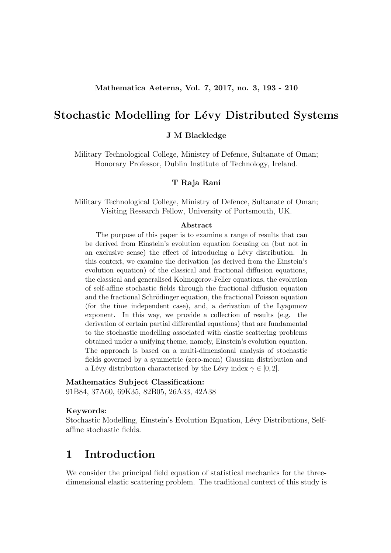## Stochastic Modelling for Lévy Distributed Systems

J M Blackledge

Military Technological College, Ministry of Defence, Sultanate of Oman; Honorary Professor, Dublin Institute of Technology, Ireland.

#### T Raja Rani

Military Technological College, Ministry of Defence, Sultanate of Oman; Visiting Research Fellow, University of Portsmouth, UK.

#### Abstract

The purpose of this paper is to examine a range of results that can be derived from Einstein's evolution equation focusing on (but not in an exclusive sense) the effect of introducing a Lévy distribution. In this context, we examine the derivation (as derived from the Einstein's evolution equation) of the classical and fractional diffusion equations, the classical and generalised Kolmogorov-Feller equations, the evolution of self-affine stochastic fields through the fractional diffusion equation and the fractional Schrödinger equation, the fractional Poisson equation (for the time independent case), and, a derivation of the Lyapunov exponent. In this way, we provide a collection of results (e.g. the derivation of certain partial differential equations) that are fundamental to the stochastic modelling associated with elastic scattering problems obtained under a unifying theme, namely, Einstein's evolution equation. The approach is based on a multi-dimensional analysis of stochastic fields governed by a symmetric (zero-mean) Gaussian distribution and a Lévy distribution characterised by the Lévy index  $\gamma \in [0, 2]$ .

#### Mathematics Subject Classification:

91B84, 37A60, 69K35, 82B05, 26A33, 42A38

#### Keywords:

Stochastic Modelling, Einstein's Evolution Equation, Lévy Distributions, Selfaffine stochastic fields.

## 1 Introduction

We consider the principal field equation of statistical mechanics for the threedimensional elastic scattering problem. The traditional context of this study is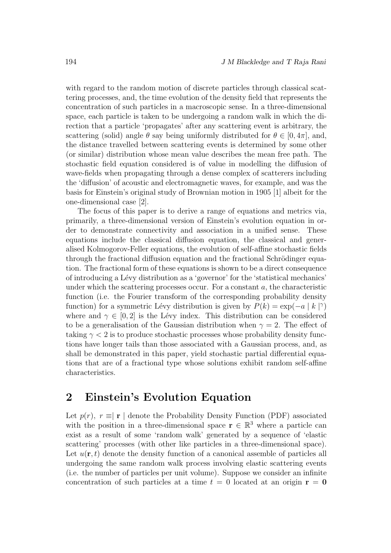with regard to the random motion of discrete particles through classical scattering processes, and, the time evolution of the density field that represents the concentration of such particles in a macroscopic sense. In a three-dimensional space, each particle is taken to be undergoing a random walk in which the direction that a particle 'propagates' after any scattering event is arbitrary, the scattering (solid) angle  $\theta$  say being uniformly distributed for  $\theta \in [0, 4\pi]$ , and, the distance travelled between scattering events is determined by some other (or similar) distribution whose mean value describes the mean free path. The stochastic field equation considered is of value in modelling the diffusion of wave-fields when propagating through a dense complex of scatterers including the 'diffusion' of acoustic and electromagnetic waves, for example, and was the basis for Einstein's original study of Brownian motion in 1905 [1] albeit for the one-dimensional case [2].

The focus of this paper is to derive a range of equations and metrics via, primarily, a three-dimensional version of Einstein's evolution equation in order to demonstrate connectivity and association in a unified sense. These equations include the classical diffusion equation, the classical and generalised Kolmogorov-Feller equations, the evolution of self-affine stochastic fields through the fractional diffusion equation and the fractional Schrödinger equation. The fractional form of these equations is shown to be a direct consequence of introducing a L´evy distribution as a 'governor' for the 'statistical mechanics' under which the scattering processes occur. For a constant  $a$ , the characteristic function (i.e. the Fourier transform of the corresponding probability density function) for a symmetric Lévy distribution is given by  $P(k) = \exp(-a |k|^\gamma)$ where and  $\gamma \in [0, 2]$  is the Lévy index. This distribution can be considered to be a generalisation of the Gaussian distribution when  $\gamma = 2$ . The effect of taking  $\gamma < 2$  is to produce stochastic processes whose probability density functions have longer tails than those associated with a Gaussian process, and, as shall be demonstrated in this paper, yield stochastic partial differential equations that are of a fractional type whose solutions exhibit random self-affine characteristics.

### 2 Einstein's Evolution Equation

Let  $p(r)$ ,  $r \equiv |\mathbf{r}|$  denote the Probability Density Function (PDF) associated with the position in a three-dimensional space  $\mathbf{r} \in \mathbb{R}^3$  where a particle can exist as a result of some 'random walk' generated by a sequence of 'elastic scattering' processes (with other like particles in a three-dimensional space). Let  $u(\mathbf{r},t)$  denote the density function of a canonical assemble of particles all undergoing the same random walk process involving elastic scattering events (i.e. the number of particles per unit volume). Suppose we consider an infinite concentration of such particles at a time  $t = 0$  located at an origin  $r = 0$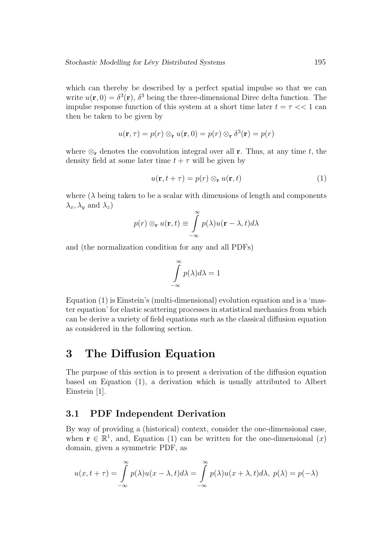which can thereby be described by a perfect spatial impulse so that we can write  $u(\mathbf{r},0) = \delta^3(\mathbf{r})$ ,  $\delta^3$  being the three-dimensional Direc delta function. The impulse response function of this system at a short time later  $t = \tau \ll 1$  can then be taken to be given by

$$
u(\mathbf{r},\tau) = p(r) \otimes_{\mathbf{r}} u(\mathbf{r},0) = p(r) \otimes_{\mathbf{r}} \delta^3(\mathbf{r}) = p(r)
$$

where  $\otimes_{\mathbf{r}}$  denotes the convolution integral over all **r**. Thus, at any time t, the density field at some later time  $t + \tau$  will be given by

$$
u(\mathbf{r}, t + \tau) = p(r) \otimes_{\mathbf{r}} u(\mathbf{r}, t)
$$
 (1)

where  $(\lambda)$  being taken to be a scalar with dimensions of length and components  $\lambda_x, \lambda_y$  and  $\lambda_z$ )

$$
p(r) \otimes_{\mathbf{r}} u(\mathbf{r}, t) \equiv \int_{-\infty}^{\infty} p(\lambda) u(\mathbf{r} - \lambda, t) d\lambda
$$

and (the normalization condition for any and all PDFs)

$$
\int\limits_{-\infty}^{\infty} p(\lambda)d\lambda = 1
$$

Equation (1) is Einstein's (multi-dimensional) evolution equation and is a 'master equation' for elastic scattering processes in statistical mechanics from which can be derive a variety of field equations such as the classical diffusion equation as considered in the following section.

## 3 The Diffusion Equation

The purpose of this section is to present a derivation of the diffusion equation based on Equation (1), a derivation which is usually attributed to Albert Einstein [1].

#### 3.1 PDF Independent Derivation

By way of providing a (historical) context, consider the one-dimensional case, when  $\mathbf{r} \in \mathbb{R}^1$ , and, Equation (1) can be written for the one-dimensional  $(x)$ domain, given a symmetric PDF, as

$$
u(x,t+\tau) = \int_{-\infty}^{\infty} p(\lambda)u(x-\lambda,t)d\lambda = \int_{-\infty}^{\infty} p(\lambda)u(x+\lambda,t)d\lambda, \ p(\lambda) = p(-\lambda)
$$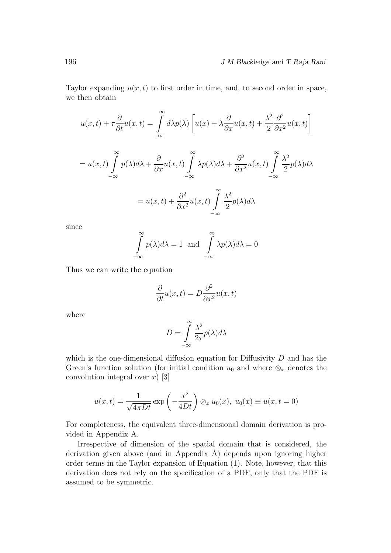Taylor expanding  $u(x, t)$  to first order in time, and, to second order in space, we then obtain

$$
u(x,t) + \tau \frac{\partial}{\partial t} u(x,t) = \int_{-\infty}^{\infty} d\lambda p(\lambda) \left[ u(x) + \lambda \frac{\partial}{\partial x} u(x,t) + \frac{\lambda^2}{2} \frac{\partial^2}{\partial x^2} u(x,t) \right]
$$
  
=  $u(x,t) \int_{-\infty}^{\infty} p(\lambda) d\lambda + \frac{\partial}{\partial x} u(x,t) \int_{-\infty}^{\infty} \lambda p(\lambda) d\lambda + \frac{\partial^2}{\partial x^2} u(x,t) \int_{-\infty}^{\infty} \frac{\lambda^2}{2} p(\lambda) d\lambda$   
=  $u(x,t) + \frac{\partial^2}{\partial x^2} u(x,t) \int_{-\infty}^{\infty} \frac{\lambda^2}{2} p(\lambda) d\lambda$ 

since

$$
\int_{-\infty}^{\infty} p(\lambda) d\lambda = 1 \text{ and } \int_{-\infty}^{\infty} \lambda p(\lambda) d\lambda = 0
$$

Thus we can write the equation

$$
\frac{\partial}{\partial t}u(x,t) = D\frac{\partial^2}{\partial x^2}u(x,t)
$$

where

$$
D = \int_{-\infty}^{\infty} \frac{\lambda^2}{2\tau} p(\lambda) d\lambda
$$

which is the one-dimensional diffusion equation for Diffusivity  $D$  and has the Green's function solution (for initial condition  $u_0$  and where  $\otimes_x$  denotes the convolution integral over  $x$  [3]

$$
u(x,t) = \frac{1}{\sqrt{4\pi Dt}} \exp\left(-\frac{x^2}{4Dt}\right) \otimes_x u_0(x), \ u_0(x) \equiv u(x,t=0)
$$

For completeness, the equivalent three-dimensional domain derivation is provided in Appendix A.

Irrespective of dimension of the spatial domain that is considered, the derivation given above (and in Appendix A) depends upon ignoring higher order terms in the Taylor expansion of Equation (1). Note, however, that this derivation does not rely on the specification of a PDF, only that the PDF is assumed to be symmetric.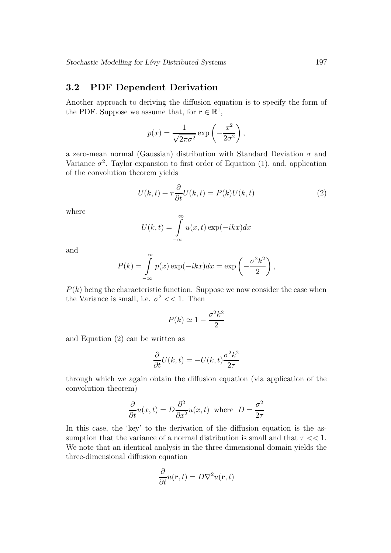#### 3.2 PDF Dependent Derivation

Another approach to deriving the diffusion equation is to specify the form of the PDF. Suppose we assume that, for  $\mathbf{r} \in \mathbb{R}^1$ ,

$$
p(x) = \frac{1}{\sqrt{2\pi\sigma^2}} \exp\left(-\frac{x^2}{2\sigma^2}\right),
$$

a zero-mean normal (Gaussian) distribution with Standard Deviation  $\sigma$  and Variance  $\sigma^2$ . Taylor expansion to first order of Equation (1), and, application of the convolution theorem yields

$$
U(k,t) + \tau \frac{\partial}{\partial t} U(k,t) = P(k)U(k,t)
$$
\n(2)

where

$$
U(k,t) = \int_{-\infty}^{\infty} u(x,t) \exp(-ikx) dx
$$

and

$$
P(k) = \int_{-\infty}^{\infty} p(x) \exp(-ikx) dx = \exp\left(-\frac{\sigma^2 k^2}{2}\right),
$$

 $P(k)$  being the characteristic function. Suppose we now consider the case when the Variance is small, i.e.  $\sigma^2 \ll 1$ . Then

$$
P(k) \simeq 1 - \frac{\sigma^2 k^2}{2}
$$

and Equation (2) can be written as

$$
\frac{\partial}{\partial t}U(k,t) = -U(k,t)\frac{\sigma^2 k^2}{2\tau}
$$

through which we again obtain the diffusion equation (via application of the convolution theorem)

$$
\frac{\partial}{\partial t}u(x,t) = D\frac{\partial^2}{\partial x^2}u(x,t) \text{ where } D = \frac{\sigma^2}{2\tau}
$$

In this case, the 'key' to the derivation of the diffusion equation is the assumption that the variance of a normal distribution is small and that  $\tau \ll 1$ . We note that an identical analysis in the three dimensional domain yields the three-dimensional diffusion equation

$$
\frac{\partial}{\partial t}u(\mathbf{r},t) = D\nabla^2 u(\mathbf{r},t)
$$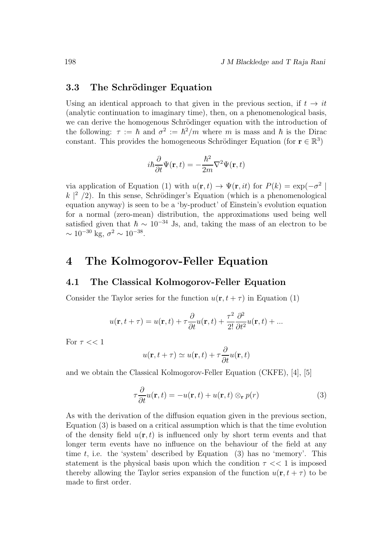#### 3.3 The Schrödinger Equation

Using an identical approach to that given in the previous section, if  $t \rightarrow it$ (analytic continuation to imaginary time), then, on a phenomenological basis, we can derive the homogenous Schrödinger equation with the introduction of the following:  $\tau := \hbar$  and  $\sigma^2 := \hbar^2/m$  where m is mass and  $\hbar$  is the Dirac constant. This provides the homogeneous Schrödinger Equation (for  $\mathbf{r} \in \mathbb{R}^3$ )

$$
i\hbar\frac{\partial}{\partial t}\Psi(\mathbf{r},t)=-\frac{\hbar^2}{2m}\nabla^2\Psi(\mathbf{r},t)
$$

via application of Equation (1) with  $u(\mathbf{r},t) \to \Psi(\mathbf{r},it)$  for  $P(k) = \exp(-\sigma^2)$  $k \mid^2$  /2). In this sense, Schrödinger's Equation (which is a phenomenological equation anyway) is seen to be a 'by-product' of Einstein's evolution equation for a normal (zero-mean) distribution, the approximations used being well satisfied given that  $\hbar \sim 10^{-34}$  Js, and, taking the mass of an electron to be  $\sim 10^{-30}$  kg,  $\sigma^2 \sim 10^{-38}$ .

### 4 The Kolmogorov-Feller Equation

#### 4.1 The Classical Kolmogorov-Feller Equation

Consider the Taylor series for the function  $u(\mathbf{r},t+\tau)$  in Equation (1)

$$
u(\mathbf{r}, t + \tau) = u(\mathbf{r}, t) + \tau \frac{\partial}{\partial t} u(\mathbf{r}, t) + \frac{\tau^2}{2!} \frac{\partial^2}{\partial t^2} u(\mathbf{r}, t) + \dots
$$

For  $\tau << 1$ 

$$
u(\mathbf{r}, t + \tau) \simeq u(\mathbf{r}, t) + \tau \frac{\partial}{\partial t} u(\mathbf{r}, t)
$$

and we obtain the Classical Kolmogorov-Feller Equation (CKFE), [4], [5]

$$
\tau \frac{\partial}{\partial t} u(\mathbf{r}, t) = -u(\mathbf{r}, t) + u(\mathbf{r}, t) \otimes_{\mathbf{r}} p(r)
$$
\n(3)

As with the derivation of the diffusion equation given in the previous section, Equation (3) is based on a critical assumption which is that the time evolution of the density field  $u(\mathbf{r},t)$  is influenced only by short term events and that longer term events have no influence on the behaviour of the field at any time t, i.e. the 'system' described by Equation  $(3)$  has no 'memory'. This statement is the physical basis upon which the condition  $\tau \ll 1$  is imposed thereby allowing the Taylor series expansion of the function  $u(\mathbf{r},t+\tau)$  to be made to first order.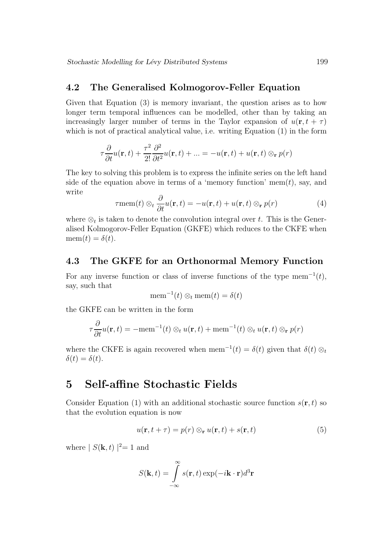#### 4.2 The Generalised Kolmogorov-Feller Equation

Given that Equation (3) is memory invariant, the question arises as to how longer term temporal influences can be modelled, other than by taking an increasingly larger number of terms in the Taylor expansion of  $u(\mathbf{r}, t + \tau)$ which is not of practical analytical value, i.e. writing Equation (1) in the form

$$
\tau \frac{\partial}{\partial t} u(\mathbf{r}, t) + \frac{\tau^2}{2!} \frac{\partial^2}{\partial t^2} u(\mathbf{r}, t) + \dots = -u(\mathbf{r}, t) + u(\mathbf{r}, t) \otimes_{\mathbf{r}} p(r)
$$

The key to solving this problem is to express the infinite series on the left hand side of the equation above in terms of a 'memory function' mem $(t)$ , say, and write

$$
\tau \text{mem}(t) \otimes_t \frac{\partial}{\partial t} u(\mathbf{r}, t) = -u(\mathbf{r}, t) + u(\mathbf{r}, t) \otimes_{\mathbf{r}} p(r) \tag{4}
$$

where  $\otimes_t$  is taken to denote the convolution integral over t. This is the Generalised Kolmogorov-Feller Equation (GKFE) which reduces to the CKFE when  $mem(t) = \delta(t)$ .

#### 4.3 The GKFE for an Orthonormal Memory Function

For any inverse function or class of inverse functions of the type mem<sup>-1</sup> $(t)$ , say, such that

$$
\text{mem}^{-1}(t) \otimes_t \text{mem}(t) = \delta(t)
$$

the GKFE can be written in the form

$$
\tau \frac{\partial}{\partial t} u(\mathbf{r}, t) = -\text{mem}^{-1}(t) \otimes_t u(\mathbf{r}, t) + \text{mem}^{-1}(t) \otimes_t u(\mathbf{r}, t) \otimes_t p(r)
$$

where the CKFE is again recovered when mem<sup>-1</sup>(t) =  $\delta(t)$  given that  $\delta(t) \otimes_t$  $\delta(t) = \delta(t).$ 

### 5 Self-affine Stochastic Fields

Consider Equation (1) with an additional stochastic source function  $s(\mathbf{r},t)$  so that the evolution equation is now

$$
u(\mathbf{r}, t + \tau) = p(r) \otimes_{\mathbf{r}} u(\mathbf{r}, t) + s(\mathbf{r}, t)
$$
 (5)

where  $|S(\mathbf{k},t)|^2=1$  and

$$
S(\mathbf{k},t) = \int_{-\infty}^{\infty} s(\mathbf{r},t) \exp(-i\mathbf{k}\cdot\mathbf{r})d^3\mathbf{r}
$$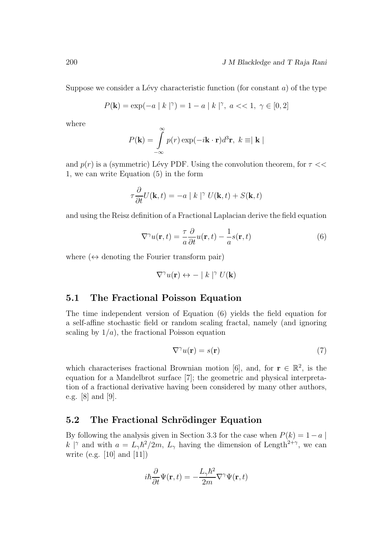Suppose we consider a Lévy characteristic function (for constant  $a$ ) of the type

$$
P(\mathbf{k}) = \exp(-a \mid k \mid^{\gamma}) = 1 - a \mid k \mid^{\gamma}, \ a << 1, \ \gamma \in [0, 2]
$$

where

$$
P(\mathbf{k}) = \int_{-\infty}^{\infty} p(r) \exp(-i\mathbf{k} \cdot \mathbf{r}) d^3 \mathbf{r}, \ k \equiv |\mathbf{k}|
$$

and  $p(r)$  is a (symmetric) Lévy PDF. Using the convolution theorem, for  $\tau \ll$ 1, we can write Equation (5) in the form

$$
\tau \frac{\partial}{\partial t} U({\bf k},t) = -a \mid k \mid^{\gamma} U({\bf k},t) + S({\bf k},t)
$$

and using the Reisz definition of a Fractional Laplacian derive the field equation

$$
\nabla^{\gamma} u(\mathbf{r}, t) = \frac{\tau}{a} \frac{\partial}{\partial t} u(\mathbf{r}, t) - \frac{1}{a} s(\mathbf{r}, t)
$$
(6)

where  $(\leftrightarrow$  denoting the Fourier transform pair)

$$
\nabla^{\gamma} u(\mathbf{r}) \leftrightarrow - |k|^\gamma U(\mathbf{k})
$$

#### 5.1 The Fractional Poisson Equation

The time independent version of Equation (6) yields the field equation for a self-affine stochastic field or random scaling fractal, namely (and ignoring scaling by  $1/a$ , the fractional Poisson equation

$$
\nabla^{\gamma} u(\mathbf{r}) = s(\mathbf{r}) \tag{7}
$$

which characterises fractional Brownian motion [6], and, for  $\mathbf{r} \in \mathbb{R}^2$ , is the equation for a Mandelbrot surface [7]; the geometric and physical interpretation of a fractional derivative having been considered by many other authors, e.g. [8] and [9].

#### 5.2 The Fractional Schrödinger Equation

By following the analysis given in Section 3.3 for the case when  $P(k) = 1 - a$ k |<sup>γ</sup> and with  $a = L_{\gamma} \hbar^2 / 2m$ ,  $L_{\gamma}$  having the dimension of Length<sup>2+γ</sup>, we can write (e.g.  $[10]$  and  $[11]$ )

$$
i\hbar\frac{\partial}{\partial t}\Psi(\mathbf{r},t) = -\frac{L_{\gamma}\hbar^2}{2m}\nabla^{\gamma}\Psi(\mathbf{r},t)
$$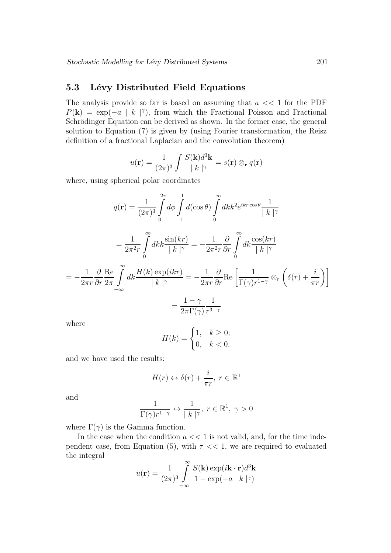### 5.3 Lévy Distributed Field Equations

The analysis provide so far is based on assuming that  $a \ll 1$  for the PDF  $P(\mathbf{k}) = \exp(-a \mid k \mid^{\gamma})$ , from which the Fractional Poisson and Fractional Schrödinger Equation can be derived as shown. In the former case, the general solution to Equation (7) is given by (using Fourier transformation, the Reisz definition of a fractional Laplacian and the convolution theorem)

$$
u(\mathbf{r}) = \frac{1}{(2\pi)^3} \int \frac{S(\mathbf{k})d^3\mathbf{k}}{|\,k\,|^{\gamma}} = s(\mathbf{r}) \otimes_{\mathbf{r}} q(\mathbf{r})
$$

where, using spherical polar coordinates

$$
q(\mathbf{r}) = \frac{1}{(2\pi)^3} \int_0^{2\pi} d\phi \int_{-1}^1 d(\cos\theta) \int_0^{\infty} dk k^2 e^{ikr\cos\theta} \frac{1}{|k|^{\gamma}}
$$
  
\n
$$
= \frac{1}{2\pi^2 r} \int_0^{\infty} dk k \frac{\sin(kr)}{|k|^{\gamma}} = -\frac{1}{2\pi^2 r} \frac{\partial}{\partial r} \int_0^{\infty} dk \frac{\cos(kr)}{|k|^{\gamma}}
$$
  
\n
$$
= -\frac{1}{2\pi r} \frac{\partial}{\partial r} \frac{\partial \mathbf{e}}{2\pi} \int_{-\infty}^{\infty} dk \frac{H(k) \exp(ikr)}{|k|^{\gamma}} = -\frac{1}{2\pi r} \frac{\partial}{\partial r} \text{Re} \left[ \frac{1}{\Gamma(\gamma)r^{1-\gamma}} \otimes_r \left( \delta(r) + \frac{i}{\pi r} \right) \right]
$$
  
\n
$$
= \frac{1-\gamma}{2\pi \Gamma(\gamma)} \frac{1}{r^{3-\gamma}}
$$

where

$$
H(k) = \begin{cases} 1, & k \ge 0; \\ 0, & k < 0. \end{cases}
$$

and we have used the results:

$$
H(r) \leftrightarrow \delta(r) + \frac{i}{\pi r}, \ r \in \mathbb{R}^1
$$

and

$$
\frac{1}{\Gamma(\gamma)r^{1-\gamma}} \leftrightarrow \frac{1}{|k|^\gamma}, \ r \in \mathbb{R}^1, \ \gamma > 0
$$

where  $\Gamma(\gamma)$  is the Gamma function.

In the case when the condition  $a \ll 1$  is not valid, and, for the time independent case, from Equation (5), with  $\tau \ll 1$ , we are required to evaluated the integral

$$
u(\mathbf{r}) = \frac{1}{(2\pi)^3} \int_{-\infty}^{\infty} \frac{S(\mathbf{k}) \exp(i\mathbf{k} \cdot \mathbf{r}) d^3 \mathbf{k}}{1 - \exp(-a \mid k \mid^{\gamma})}
$$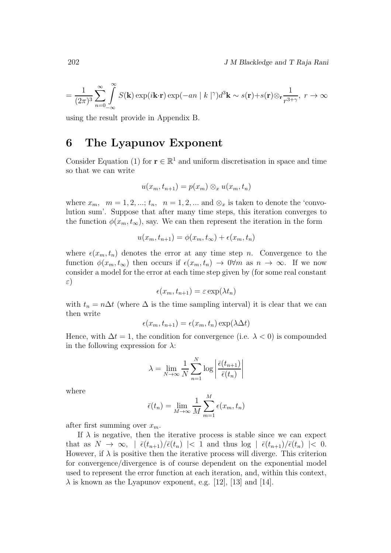202 J M Blackledge and T Raja Rani

$$
= \frac{1}{(2\pi)^3}\sum_{n=0}^{\infty}\int_{-\infty}^{\infty}S(\mathbf{k})\exp(i\mathbf{k}\cdot\mathbf{r})\exp(-an|k|^\gamma)d^3\mathbf{k} \sim s(\mathbf{r})+s(\mathbf{r})\otimes_{\mathbf{r}}\frac{1}{r^{3+\gamma}},\ r\to\infty
$$

using the result provide in Appendix B.

## 6 The Lyapunov Exponent

Consider Equation (1) for  $\mathbf{r} \in \mathbb{R}^1$  and uniform discretisation in space and time so that we can write

$$
u(x_m, t_{n+1}) = p(x_m) \otimes_x u(x_m, t_n)
$$

where  $x_m$ ,  $m = 1, 2, ...; t_n$ ,  $n = 1, 2, ...$  and  $\otimes_x$  is taken to denote the 'convolution sum'. Suppose that after many time steps, this iteration converges to the function  $\phi(x_m,t_\infty)$ , say. We can then represent the iteration in the form

$$
u(x_m, t_{n+1}) = \phi(x_m, t_\infty) + \epsilon(x_m, t_n)
$$

where  $\epsilon(x_m,t_n)$  denotes the error at any time step n. Convergence to the function  $\phi(x_m,t_\infty)$  then occurs if  $\epsilon(x_m,t_n) \to 0$   $\forall m$  as  $n \to \infty$ . If we now consider a model for the error at each time step given by (for some real constant ε)

$$
\epsilon(x_m, t_{n+1}) = \varepsilon \exp(\lambda t_n)
$$

with  $t_n = n\Delta t$  (where  $\Delta$  is the time sampling interval) it is clear that we can then write

$$
\epsilon(x_m, t_{n+1}) = \epsilon(x_m, t_n) \exp(\lambda \Delta t)
$$

Hence, with  $\Delta t = 1$ , the condition for convergence (i.e.  $\lambda < 0$ ) is compounded in the following expression for  $\lambda$ :

$$
\lambda = \lim_{N \to \infty} \frac{1}{N} \sum_{n=1}^{N} \log \left| \frac{\bar{\epsilon}(t_{n+1})}{\bar{\epsilon}(t_n)} \right|
$$

where

$$
\bar{\epsilon}(t_n) = \lim_{M \to \infty} \frac{1}{M} \sum_{m=1}^{M} \epsilon(x_m, t_n)
$$

after first summing over  $x_m$ .

If  $\lambda$  is negative, then the iterative process is stable since we can expect that as  $N \to \infty$ ,  $\int \overline{\epsilon}(t_{n+1})/\overline{\epsilon}(t_n)$  |< 1 and thus  $\log \int \overline{\epsilon}(t_{n+1})/\overline{\epsilon}(t_n)$  |< 0. However, if  $\lambda$  is positive then the iterative process will diverge. This criterion for convergence/divergence is of course dependent on the exponential model used to represent the error function at each iteration, and, within this context,  $\lambda$  is known as the Lyapunov exponent, e.g. [12], [13] and [14].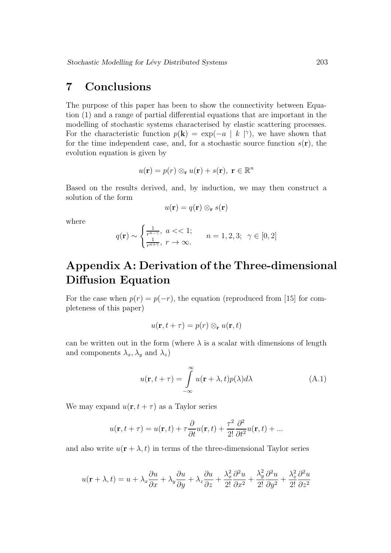## 7 Conclusions

The purpose of this paper has been to show the connectivity between Equation (1) and a range of partial differential equations that are important in the modelling of stochastic systems characterised by elastic scattering processes. For the characteristic function  $p(\mathbf{k}) = \exp(-a | k |^{\gamma})$ , we have shown that for the time independent case, and, for a stochastic source function  $s(\mathbf{r})$ , the evolution equation is given by

$$
u(\mathbf{r}) = p(r) \otimes_{\mathbf{r}} u(\mathbf{r}) + s(\mathbf{r}), \ \mathbf{r} \in \mathbb{R}^n
$$

Based on the results derived, and, by induction, we may then construct a solution of the form

$$
u(\mathbf{r}) = q(\mathbf{r}) \otimes_{\mathbf{r}} s(\mathbf{r})
$$

where

$$
q(\mathbf{r}) \sim \begin{cases} \frac{1}{r^{n-\gamma}}, \ a << 1; \\ \frac{1}{r^{n+\gamma}}, \ r \to \infty. \end{cases} \qquad n = 1, 2, 3; \ \gamma \in [0, 2]
$$

# Appendix A: Derivation of the Three-dimensional Diffusion Equation

For the case when  $p(r) = p(-r)$ , the equation (reproduced from [15] for completeness of this paper)

$$
u(\mathbf{r}, t + \tau) = p(r) \otimes_{\mathbf{r}} u(\mathbf{r}, t)
$$

can be written out in the form (where  $\lambda$  is a scalar with dimensions of length and components  $\lambda_x, \lambda_y$  and  $\lambda_z$ )

$$
u(\mathbf{r}, t + \tau) = \int_{-\infty}^{\infty} u(\mathbf{r} + \lambda, t) p(\lambda) d\lambda \tag{A.1}
$$

We may expand  $u(\mathbf{r}, t + \tau)$  as a Taylor series

$$
u(\mathbf{r}, t + \tau) = u(\mathbf{r}, t) + \tau \frac{\partial}{\partial t} u(\mathbf{r}, t) + \frac{\tau^2}{2!} \frac{\partial^2}{\partial t^2} u(\mathbf{r}, t) + \dots
$$

and also write  $u(\mathbf{r} + \lambda, t)$  in terms of the three-dimensional Taylor series

$$
u(\mathbf{r} + \lambda, t) = u + \lambda_x \frac{\partial u}{\partial x} + \lambda_y \frac{\partial u}{\partial y} + \lambda_z \frac{\partial u}{\partial z} + \frac{\lambda_x^2}{2!} \frac{\partial^2 u}{\partial x^2} + \frac{\lambda_y^2}{2!} \frac{\partial^2 u}{\partial y^2} + \frac{\lambda_z^2}{2!} \frac{\partial^2 u}{\partial z^2}
$$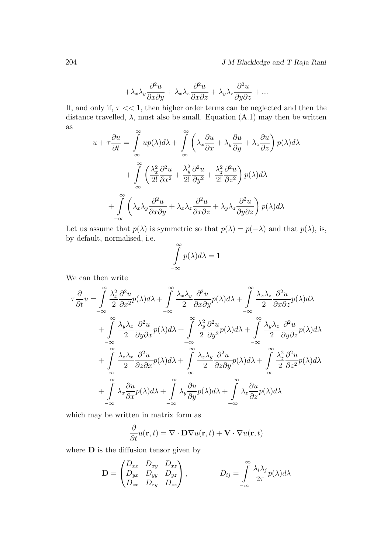204 J M Blackledge and T Raja Rani

$$
+\lambda_x\lambda_y\frac{\partial^2 u}{\partial x\partial y} + \lambda_x\lambda_z\frac{\partial^2 u}{\partial x\partial z} + \lambda_y\lambda_z\frac{\partial^2 u}{\partial y\partial z} + \dots
$$

If, and only if,  $\tau \ll 1$ , then higher order terms can be neglected and then the distance travelled,  $\lambda$ , must also be small. Equation (A.1) may then be written as  $\infty$  $\infty$ 

$$
u + \tau \frac{\partial u}{\partial t} = \int_{-\infty}^{\infty} u p(\lambda) d\lambda + \int_{-\infty}^{\infty} \left( \lambda_x \frac{\partial u}{\partial x} + \lambda_y \frac{\partial u}{\partial y} + \lambda_z \frac{\partial u}{\partial z} \right) p(\lambda) d\lambda
$$

$$
+ \int_{-\infty}^{\infty} \left( \frac{\lambda_x^2}{2!} \frac{\partial^2 u}{\partial x^2} + \frac{\lambda_y^2}{2!} \frac{\partial^2 u}{\partial y^2} + \frac{\lambda_z^2}{2!} \frac{\partial^2 u}{\partial z^2} \right) p(\lambda) d\lambda
$$

$$
+ \int_{-\infty}^{\infty} \left( \lambda_x \lambda_y \frac{\partial^2 u}{\partial x \partial y} + \lambda_x \lambda_z \frac{\partial^2 u}{\partial x \partial z} + \lambda_y \lambda_z \frac{\partial^2 u}{\partial y \partial z} \right) p(\lambda) d\lambda
$$

Let us assume that  $p(\lambda)$  is symmetric so that  $p(\lambda) = p(-\lambda)$  and that  $p(\lambda)$ , is, by default, normalised, i.e.

$$
\int_{-\infty}^{\infty} p(\lambda) d\lambda = 1
$$

We can then write

$$
\tau \frac{\partial}{\partial t} u = \int_{-\infty}^{\infty} \frac{\lambda_x^2}{2} \frac{\partial^2 u}{\partial x^2} p(\lambda) d\lambda + \int_{-\infty}^{\infty} \frac{\lambda_x \lambda_y}{2} \frac{\partial^2 u}{\partial x \partial y} p(\lambda) d\lambda + \int_{-\infty}^{\infty} \frac{\lambda_x \lambda_z}{2} \frac{\partial^2 u}{\partial x \partial z} p(\lambda) d\lambda \n+ \int_{-\infty}^{\infty} \frac{\lambda_y \lambda_x}{2} \frac{\partial^2 u}{\partial y \partial x} p(\lambda) d\lambda + \int_{-\infty}^{\infty} \frac{\lambda_y^2}{2} \frac{\partial^2 u}{\partial y^2} p(\lambda) d\lambda + \int_{-\infty}^{\infty} \frac{\lambda_y \lambda_z}{2} \frac{\partial^2 u}{\partial y \partial z} p(\lambda) d\lambda \n+ \int_{-\infty}^{\infty} \frac{\lambda_z \lambda_x}{2} \frac{\partial^2 u}{\partial z \partial x} p(\lambda) d\lambda + \int_{-\infty}^{\infty} \frac{\lambda_z \lambda_y}{2} \frac{\partial^2 u}{\partial z \partial y} p(\lambda) d\lambda + \int_{-\infty}^{\infty} \frac{\lambda_z^2}{2} \frac{\partial^2 u}{\partial z^2} p(\lambda) d\lambda \n+ \int_{-\infty}^{\infty} \lambda_x \frac{\partial u}{\partial x} p(\lambda) d\lambda + \int_{-\infty}^{\infty} \lambda_y \frac{\partial u}{\partial y} p(\lambda) d\lambda + \int_{-\infty}^{\infty} \lambda_z \frac{\partial u}{\partial z} p(\lambda) d\lambda
$$

which may be written in matrix form as

$$
\frac{\partial}{\partial t}u(\mathbf{r},t) = \nabla \cdot \mathbf{D}\nabla u(\mathbf{r},t) + \mathbf{V} \cdot \nabla u(\mathbf{r},t)
$$

where  **is the diffusion tensor given by** 

$$
\mathbf{D} = \begin{pmatrix} D_{xx} & D_{xy} & D_{xz} \\ D_{yx} & D_{yy} & D_{yz} \\ D_{zx} & D_{zy} & D_{zz} \end{pmatrix}, \qquad D_{ij} = \int_{-\infty}^{\infty} \frac{\lambda_i \lambda_j}{2\tau} p(\lambda) d\lambda
$$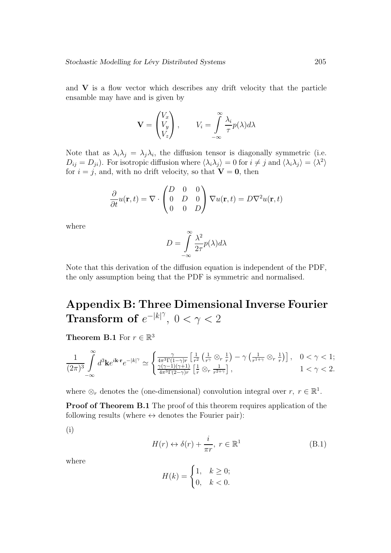and  $V$  is a flow vector which describes any drift velocity that the particle ensamble may have and is given by

$$
\mathbf{V} = \begin{pmatrix} V_x \\ V_y \\ V_z \end{pmatrix}, \qquad V_i = \int_{-\infty}^{\infty} \frac{\lambda_i}{\tau} p(\lambda) d\lambda
$$

Note that as  $\lambda_i \lambda_j = \lambda_j \lambda_i$ , the diffusion tensor is diagonally symmetric (i.e.  $D_{ij} = D_{ji}$ . For isotropic diffusion where  $\langle \lambda_i \lambda_j \rangle = 0$  for  $i \neq j$  and  $\langle \lambda_i \lambda_j \rangle = \langle \lambda^2 \rangle$ for  $i = j$ , and, with no drift velocity, so that  $V = 0$ , then

$$
\frac{\partial}{\partial t}u(\mathbf{r},t) = \nabla \cdot \begin{pmatrix} D & 0 & 0 \\ 0 & D & 0 \\ 0 & 0 & D \end{pmatrix} \nabla u(\mathbf{r},t) = D \nabla^2 u(\mathbf{r},t)
$$

where

$$
D = \int_{-\infty}^{\infty} \frac{\lambda^2}{2\tau} p(\lambda) d\lambda
$$

Note that this derivation of the diffusion equation is independent of the PDF, the only assumption being that the PDF is symmetric and normalised.

# Appendix B: Three Dimensional Inverse Fourier Transform of  $e^{-|k|^\gamma}$ ,  $0 < \gamma < 2$

Theorem B.1 For  $r \in \mathbb{R}^3$ 

$$
\frac{1}{(2\pi)^3}\int\limits_{-\infty}^{\infty}d^3\mathbf{k}e^{i\mathbf{k}\cdot\mathbf{r}}e^{-|k|^\gamma}\simeq \begin{cases} \frac{\gamma}{4\pi^3\Gamma(1-\gamma)r}\left[\frac{1}{r^2}\left(\frac{1}{r^\gamma}\otimes_r\frac{1}{r}\right)-\gamma\left(\frac{1}{r^{1+\gamma}}\otimes_r\frac{1}{r}\right)\right], &0<\gamma<1;\\ \frac{\gamma(\gamma-1)(\gamma+1)}{4\pi^3\Gamma(2-\gamma)r}\left[\frac{1}{r}\otimes_r\frac{1}{r^{2+\gamma}}\right], &1<\gamma<2. \end{cases}
$$

where  $\otimes_r$  denotes the (one-dimensional) convolution integral over  $r, r \in \mathbb{R}^1$ .

Proof of Theorem B.1 The proof of this theorem requires application of the following results (where  $\leftrightarrow$  denotes the Fourier pair):

(i)

$$
H(r) \leftrightarrow \delta(r) + \frac{i}{\pi r}, \ r \in \mathbb{R}^1
$$
 (B.1)

where

$$
H(k) = \begin{cases} 1, & k \ge 0; \\ 0, & k < 0. \end{cases}
$$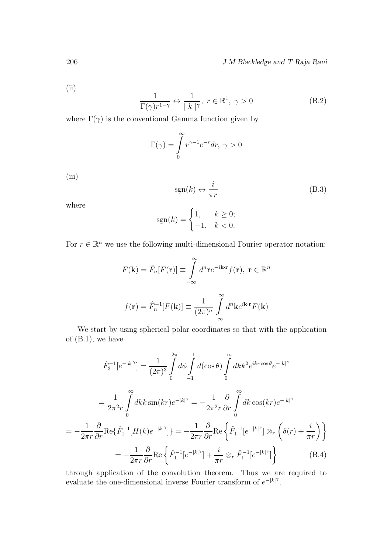(ii)

$$
\frac{1}{\Gamma(\gamma)r^{1-\gamma}} \leftrightarrow \frac{1}{|k|^\gamma}, \ r \in \mathbb{R}^1, \ \gamma > 0
$$
 (B.2)

where  $\Gamma(\gamma)$  is the conventional Gamma function given by

$$
\Gamma(\gamma) = \int_{0}^{\infty} r^{\gamma - 1} e^{-r} dr, \ \gamma > 0
$$

(iii)

$$
sgn(k) \leftrightarrow \frac{i}{\pi r} \tag{B.3}
$$

where

$$
sgn(k) = \begin{cases} 1, & k \ge 0; \\ -1, & k < 0. \end{cases}
$$

For  $r \in \mathbb{R}^n$  we use the following multi-dimensional Fourier operator notation:

$$
F(\mathbf{k}) = \hat{F}_n[F(\mathbf{r})] \equiv \int_{-\infty}^{\infty} d^n \mathbf{r} e^{-i\mathbf{k} \cdot \mathbf{r}} f(\mathbf{r}), \ \mathbf{r} \in \mathbb{R}^n
$$

$$
f(\mathbf{r}) = \hat{F}_n^{-1}[F(\mathbf{k})] \equiv \frac{1}{(2\pi)^n} \int_{-\infty}^{\infty} d^n \mathbf{k} e^{i\mathbf{k} \cdot \mathbf{r}} F(\mathbf{k})
$$

We start by using spherical polar coordinates so that with the application of  $(B.1)$ , we have

$$
\hat{F}_3^{-1}[e^{-|k|^\gamma}] = \frac{1}{(2\pi)^3} \int_0^{2\pi} d\phi \int_0^1 d(\cos\theta) \int_0^\infty dk k^2 e^{ikr\cos\theta} e^{-|k|^\gamma}
$$
\n
$$
= \frac{1}{2\pi^2 r} \int_0^\infty dk k \sin(kr) e^{-|k|^\gamma} = -\frac{1}{2\pi^2 r} \frac{\partial}{\partial r} \int_0^\infty dk \cos(kr) e^{-|k|^\gamma}
$$
\n
$$
= -\frac{1}{2\pi r} \frac{\partial}{\partial r} \text{Re}\{\hat{F}_1^{-1}[H(k)e^{-|k|^\gamma}]\} = -\frac{1}{2\pi r} \frac{\partial}{\partial r} \text{Re}\{\hat{F}_1^{-1}[e^{-|k|^\gamma}]\otimes_r \left(\delta(r) + \frac{i}{\pi r}\right)\}
$$
\n
$$
= -\frac{1}{2\pi r} \frac{\partial}{\partial r} \text{Re}\{\hat{F}_1^{-1}[e^{-|k|^\gamma}] + \frac{i}{\pi r} \otimes_r \hat{F}_1^{-1}[e^{-|k|^\gamma}]\}
$$
\n(B.4)

through application of the convolution theorem. Thus we are required to evaluate the one-dimensional inverse Fourier transform of  $e^{-|k|^\gamma}$ .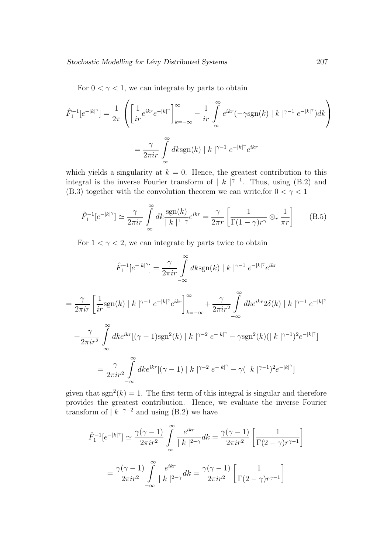For  $0 < \gamma < 1$ , we can integrate by parts to obtain

$$
\hat{F}_1^{-1}[e^{-|k|^\gamma}] = \frac{1}{2\pi} \left( \left[ \frac{1}{ir} e^{ikr} e^{-|k|^\gamma} \right]_{k=-\infty}^{\infty} - \frac{1}{ir} \int_{-\infty}^{\infty} e^{ikr} (-\gamma \text{sgn}(k) | k |^{\gamma-1} e^{-|k|^\gamma}) dk \right)
$$
\n
$$
= \frac{\gamma}{2\pi ir} \int_{-\infty}^{\infty} dk \text{sgn}(k) | k |^{\gamma-1} e^{-|k|^\gamma} e^{ikr}
$$

which yields a singularity at  $k = 0$ . Hence, the greatest contribution to this integral is the inverse Fourier transform of  $|k|^{\gamma-1}$ . Thus, using (B.2) and (B.3) together with the convolution theorem we can write, for  $0 < \gamma < 1$ 

$$
\hat{F}_1^{-1}[e^{-|k|^\gamma}] \simeq \frac{\gamma}{2\pi i r} \int\limits_{-\infty}^{\infty} dk \frac{\text{sgn}(k)}{|k|^{1-\gamma}} e^{ikr} = \frac{\gamma}{2\pi r} \left[ \frac{1}{\Gamma(1-\gamma)r^\gamma} \otimes_r \frac{1}{\pi r} \right] \tag{B.5}
$$

For  $1 < \gamma < 2$ , we can integrate by parts twice to obtain

$$
\hat{F}_1^{-1}[e^{-|k|\gamma}] = \frac{\gamma}{2\pi i r} \int_{-\infty}^{\infty} dk \text{sgn}(k) |k|^{\gamma-1} e^{-|k|\gamma} e^{ikr}
$$
\n
$$
= \frac{\gamma}{2\pi i r} \left[ \frac{1}{i r} \text{sgn}(k) |k|^{\gamma-1} e^{-|k|\gamma} e^{ikr} \right]_{k=-\infty}^{\infty} + \frac{\gamma}{2\pi i r^2} \int_{-\infty}^{\infty} dk e^{ikr} 2\delta(k) |k|^{\gamma-1} e^{-|k|\gamma}
$$
\n
$$
+ \frac{\gamma}{2\pi i r^2} \int_{-\infty}^{\infty} dk e^{ikr} [(\gamma - 1) \text{sgn}^2(k) |k|^{\gamma-2} e^{-|k|\gamma} - \gamma \text{sgn}^2(k) (|k|^{\gamma-1})^2 e^{-|k|\gamma}]
$$
\n
$$
= \frac{\gamma}{2\pi i r^2} \int_{-\infty}^{\infty} dk e^{ikr} [(\gamma - 1) |k|^{\gamma-2} e^{-|k|\gamma} - \gamma (|k|^{\gamma-1})^2 e^{-|k|\gamma}]
$$

given that  $sgn^2(k) = 1$ . The first term of this integral is singular and therefore provides the greatest contribution. Hence, we evaluate the inverse Fourier transform of  $|k|^{\gamma-2}$  and using (B.2) we have

$$
\hat{F}_1^{-1}[e^{-|k|^\gamma}] \simeq \frac{\gamma(\gamma - 1)}{2\pi i r^2} \int_{-\infty}^{\infty} \frac{e^{ikr}}{|k|^{2-\gamma}} dk = \frac{\gamma(\gamma - 1)}{2\pi i r^2} \left[ \frac{1}{\Gamma(2 - \gamma)r^{\gamma - 1}} \right]
$$

$$
= \frac{\gamma(\gamma - 1)}{2\pi i r^2} \int_{-\infty}^{\infty} \frac{e^{ikr}}{|k|^{2-\gamma}} dk = \frac{\gamma(\gamma - 1)}{2\pi i r^2} \left[ \frac{1}{\Gamma(2 - \gamma)r^{\gamma - 1}} \right]
$$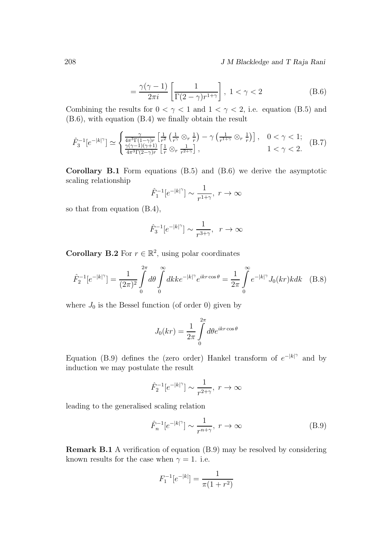208 J M Blackledge and T Raja Rani

$$
= \frac{\gamma(\gamma - 1)}{2\pi i} \left[ \frac{1}{\Gamma(2 - \gamma)r^{1+\gamma}} \right], \ 1 < \gamma < 2
$$
 (B.6)

Combining the results for  $0 < \gamma < 1$  and  $1 < \gamma < 2$ , i.e. equation (B.5) and (B.6), with equation (B.4) we finally obtain the result

$$
\hat{F}_3^{-1}[e^{-|k|^\gamma}] \simeq \begin{cases} \frac{\gamma}{4\pi^3 \Gamma(1-\gamma)r} \left[ \frac{1}{r^2} \left( \frac{1}{r^\gamma} \otimes_r \frac{1}{r} \right) - \gamma \left( \frac{1}{r^{1+\gamma}} \otimes_r \frac{1}{r} \right) \right], & 0 < \gamma < 1; \\ \frac{\gamma(\gamma-1)(\gamma+1)}{4\pi^3 \Gamma(2-\gamma)r} \left[ \frac{1}{r} \otimes_r \frac{1}{r^{2+\gamma}} \right], & 1 < \gamma < 2. \end{cases} (B.7)
$$

Corollary B.1 Form equations (B.5) and (B.6) we derive the asymptotic scaling relationship

$$
\hat{F}_1^{-1}[e^{-|k|^\gamma}] \sim \frac{1}{r^{1+\gamma}}, \ r \to \infty
$$

so that from equation (B.4),

$$
\hat F_3^{-1}[e^{-|k|^\gamma}] \sim \frac{1}{r^{3+\gamma}}, \;\; r \to \infty
$$

**Corollary B.2** For  $r \in \mathbb{R}^2$ , using polar coordinates

$$
\hat{F}_2^{-1}[e^{-|k|^\gamma}] = \frac{1}{(2\pi)^2} \int_0^{2\pi} d\theta \int_0^{\infty} dk k e^{-|k|^\gamma} e^{ikr \cos \theta} = \frac{1}{2\pi} \int_0^{\infty} e^{-|k|^\gamma} J_0(kr) k dk \quad (B.8)
$$

where  $J_0$  is the Bessel function (of order 0) given by

$$
J_0(kr) = \frac{1}{2\pi} \int\limits_0^{2\pi} d\theta e^{ikr\cos\theta}
$$

Equation (B.9) defines the (zero order) Hankel transform of  $e^{-|k|^\gamma}$  and by induction we may postulate the result

$$
\hat{F}_2^{-1}[e^{-|k|^\gamma}] \sim \frac{1}{r^{2+\gamma}}, \ r \to \infty
$$

leading to the generalised scaling relation

$$
\hat{F}_n^{-1}[e^{-|k|^\gamma}] \sim \frac{1}{r^{n+\gamma}}, \ r \to \infty \tag{B.9}
$$

Remark B.1 A verification of equation (B.9) may be resolved by considering known results for the case when  $\gamma = 1$ . i.e.

$$
F_1^{-1}[e^{-|k|}] = \frac{1}{\pi(1+r^2)}
$$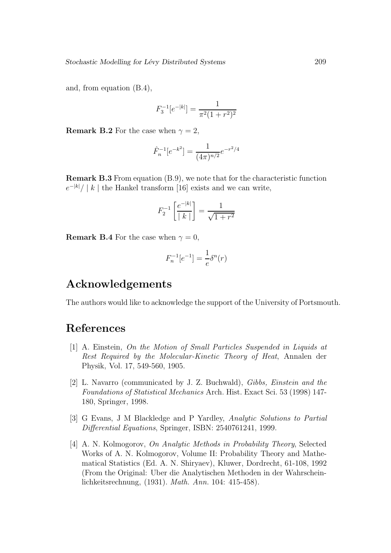and, from equation (B.4),

$$
F_3^{-1}[e^{-|k|}] = \frac{1}{\pi^2(1+r^2)^2}
$$

**Remark B.2** For the case when  $\gamma = 2$ ,

$$
\hat{F}_n^{-1}[e^{-k^2}] = \frac{1}{(4\pi)^{n/2}}e^{-r^2/4}
$$

Remark B.3 From equation (B.9), we note that for the characteristic function  $e^{-|k|}/|k|$  the Hankel transform [16] exists and we can write,

$$
F_2^{-1} \left[ \frac{e^{-|k|}}{|k|} \right] = \frac{1}{\sqrt{1+r^2}}
$$

**Remark B.4** For the case when  $\gamma = 0$ ,

$$
F_n^{-1}[e^{-1}] = \frac{1}{e} \delta^n(r)
$$

### Acknowledgements

The authors would like to acknowledge the support of the University of Portsmouth.

## References

- [1] A. Einstein, On the Motion of Small Particles Suspended in Liquids at Rest Required by the Molecular-Kinetic Theory of Heat, Annalen der Physik, Vol. 17, 549-560, 1905.
- [2] L. Navarro (communicated by J. Z. Buchwald), Gibbs, Einstein and the Foundations of Statistical Mechanics Arch. Hist. Exact Sci. 53 (1998) 147- 180, Springer, 1998.
- [3] G Evans, J M Blackledge and P Yardley, Analytic Solutions to Partial Differential Equations, Springer, ISBN: 2540761241, 1999.
- [4] A. N. Kolmogorov, On Analytic Methods in Probability Theory, Selected Works of A. N. Kolmogorov, Volume II: Probability Theory and Mathematical Statistics (Ed. A. N. Shiryaev), Kluwer, Dordrecht, 61-108, 1992 (From the Original: Uber die Analytischen Methoden in der Wahrscheinlichkeitsrechnung, (1931). Math. Ann. 104: 415-458).